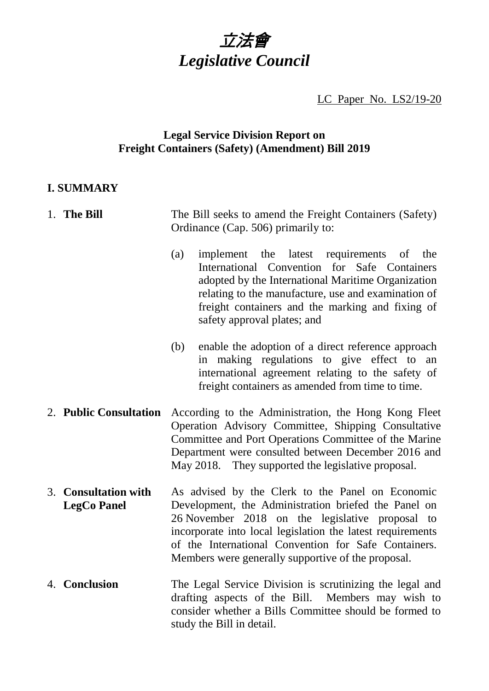

LC Paper No. LS2/19-20

# **Legal Service Division Report on Freight Containers (Safety) (Amendment) Bill 2019**

# **I. SUMMARY**

| 1. The Bill                                | The Bill seeks to amend the Freight Containers (Safety)<br>Ordinance (Cap. 506) primarily to:                                                                                                                                                                                                                                           |
|--------------------------------------------|-----------------------------------------------------------------------------------------------------------------------------------------------------------------------------------------------------------------------------------------------------------------------------------------------------------------------------------------|
|                                            | implement the latest requirements of the<br>(a)<br>International Convention for Safe Containers<br>adopted by the International Maritime Organization<br>relating to the manufacture, use and examination of<br>freight containers and the marking and fixing of<br>safety approval plates; and                                         |
|                                            | enable the adoption of a direct reference approach<br>(b)<br>in making regulations to give effect to an<br>international agreement relating to the safety of<br>freight containers as amended from time to time.                                                                                                                        |
| 2. Public Consultation                     | According to the Administration, the Hong Kong Fleet<br>Operation Advisory Committee, Shipping Consultative<br>Committee and Port Operations Committee of the Marine<br>Department were consulted between December 2016 and<br>May 2018. They supported the legislative proposal.                                                       |
| 3. Consultation with<br><b>LegCo Panel</b> | As advised by the Clerk to the Panel on Economic<br>Development, the Administration briefed the Panel on<br>26 November 2018 on the legislative proposal to<br>incorporate into local legislation the latest requirements<br>of the International Convention for Safe Containers.<br>Members were generally supportive of the proposal. |
| 4. Conclusion                              | The Legal Service Division is scrutinizing the legal and<br>drafting aspects of the Bill. Members may wish to<br>consider whether a Bills Committee should be formed to<br>study the Bill in detail.                                                                                                                                    |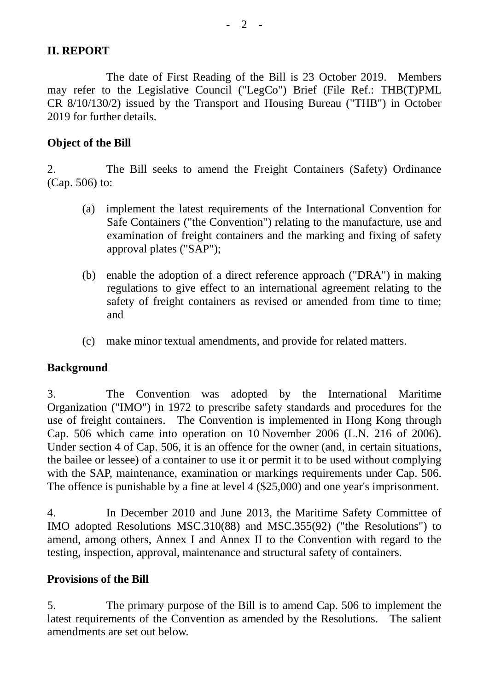### **II. REPORT**

The date of First Reading of the Bill is 23 October 2019. Members may refer to the Legislative Council ("LegCo") Brief (File Ref.: THB(T)PML CR 8/10/130/2) issued by the Transport and Housing Bureau ("THB") in October 2019 for further details.

### **Object of the Bill**

2. The Bill seeks to amend the Freight Containers (Safety) Ordinance (Cap. 506) to:

- (a) implement the latest requirements of the International Convention for Safe Containers ("the Convention") relating to the manufacture, use and examination of freight containers and the marking and fixing of safety approval plates ("SAP");
- (b) enable the adoption of a direct reference approach ("DRA") in making regulations to give effect to an international agreement relating to the safety of freight containers as revised or amended from time to time; and
- (c) make minor textual amendments, and provide for related matters.

#### **Background**

3. The Convention was adopted by the International Maritime Organization ("IMO") in 1972 to prescribe safety standards and procedures for the use of freight containers. The Convention is implemented in Hong Kong through Cap. 506 which came into operation on 10 November 2006 (L.N. 216 of 2006). Under section 4 of Cap. 506, it is an offence for the owner (and, in certain situations, the bailee or lessee) of a container to use it or permit it to be used without complying with the SAP, maintenance, examination or markings requirements under Cap. 506. The offence is punishable by a fine at level 4 (\$25,000) and one year's imprisonment.

4. In December 2010 and June 2013, the Maritime Safety Committee of IMO adopted Resolutions MSC.310(88) and MSC.355(92) ("the Resolutions") to amend, among others, Annex I and Annex II to the Convention with regard to the testing, inspection, approval, maintenance and structural safety of containers.

#### **Provisions of the Bill**

5. The primary purpose of the Bill is to amend Cap. 506 to implement the latest requirements of the Convention as amended by the Resolutions. The salient amendments are set out below.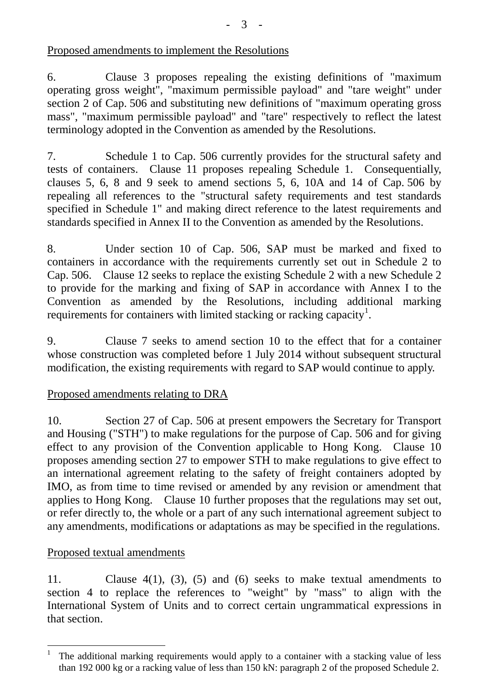## Proposed amendments to implement the Resolutions

6. Clause 3 proposes repealing the existing definitions of "maximum operating gross weight", "maximum permissible payload" and "tare weight" under section 2 of Cap. 506 and substituting new definitions of "maximum operating gross mass", "maximum permissible payload" and "tare" respectively to reflect the latest terminology adopted in the Convention as amended by the Resolutions.

7. Schedule 1 to Cap. 506 currently provides for the structural safety and tests of containers. Clause 11 proposes repealing Schedule 1. Consequentially, clauses 5, 6, 8 and 9 seek to amend sections 5, 6, 10A and 14 of Cap. 506 by repealing all references to the "structural safety requirements and test standards specified in Schedule 1" and making direct reference to the latest requirements and standards specified in Annex II to the Convention as amended by the Resolutions.

8. Under section 10 of Cap. 506, SAP must be marked and fixed to containers in accordance with the requirements currently set out in Schedule 2 to Cap. 506. Clause 12 seeks to replace the existing Schedule 2 with a new Schedule 2 to provide for the marking and fixing of SAP in accordance with Annex I to the Convention as amended by the Resolutions, including additional marking requirements for containers with limited stacking or racking capacity<sup>[1](#page-2-0)</sup>.

9. Clause 7 seeks to amend section 10 to the effect that for a container whose construction was completed before 1 July 2014 without subsequent structural modification, the existing requirements with regard to SAP would continue to apply.

# Proposed amendments relating to DRA

10. Section 27 of Cap. 506 at present empowers the Secretary for Transport and Housing ("STH") to make regulations for the purpose of Cap. 506 and for giving effect to any provision of the Convention applicable to Hong Kong. Clause 10 proposes amending section 27 to empower STH to make regulations to give effect to an international agreement relating to the safety of freight containers adopted by IMO, as from time to time revised or amended by any revision or amendment that applies to Hong Kong. Clause 10 further proposes that the regulations may set out, or refer directly to, the whole or a part of any such international agreement subject to any amendments, modifications or adaptations as may be specified in the regulations.

## Proposed textual amendments

11. Clause 4(1), (3), (5) and (6) seeks to make textual amendments to section 4 to replace the references to "weight" by "mass" to align with the International System of Units and to correct certain ungrammatical expressions in that section.

<span id="page-2-0"></span><sup>&</sup>lt;sup>1</sup> The additional marking requirements would apply to a container with a stacking value of less than 192 000 kg or a racking value of less than 150 kN: paragraph 2 of the proposed Schedule 2.